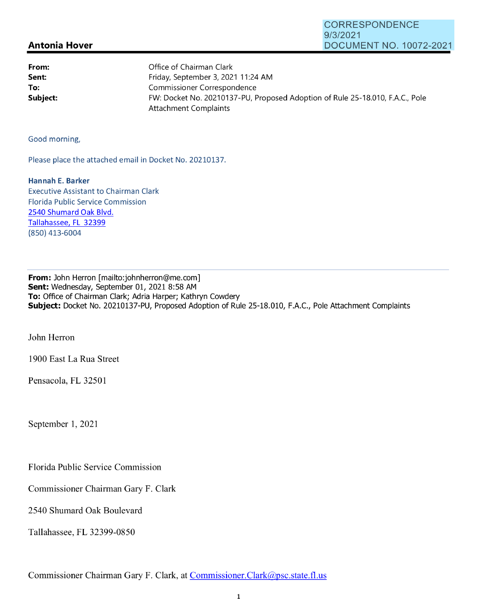## **Antonia Hover**  9/3/2021 DOCUMENT NO. 10072-2021

CORRESPONDENCE

| From:    | Office of Chairman Clark                                                      |
|----------|-------------------------------------------------------------------------------|
| Sent:    | Friday, September 3, 2021 11:24 AM                                            |
| To:      | Commissioner Correspondence                                                   |
| Subject: | FW: Docket No. 20210137-PU, Proposed Adoption of Rule 25-18.010, F.A.C., Pole |
|          | Attachment Complaints                                                         |

Good morning,

Please place the attached email in Docket No. 20210137.

**Hannah E. Barker**  Executive Assistant to Chairman Clark Florida Public Service Commission 2540 Shumard Oak Blvd. Tallahassee, FL 32399 (850) 413-6004

**From:** John Herron [mailto:johnherron@me.com] **Sent:** Wednesday, September 01, 2021 8:58 AM **To:** Office of Chairman Clark; Adria Harper; Kathryn Cowdery **Subject:** Docket No. 20210137-PU, Proposed Adoption of Rule 25-18.010, F.A.C., Pole Attachment Complaints

John Herron

1900 East La Rua Street

Pensacola, FL 32501

September 1, 2021

Florida Public Service Commission

Commissioner Chairman Gary F. Clark

2540 Shumard Oak Boulevard

Tallahassee, FL 32399-0850

Commissioner Chairman Gary F. Clark, at Commissioner.Clark@psc.state.fl.us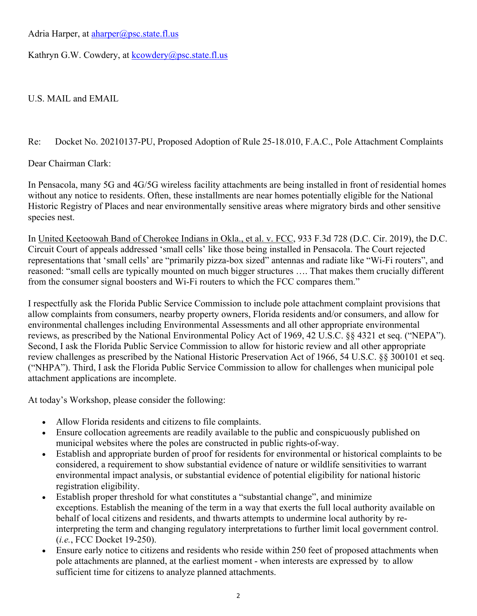Adria Harper, at *aharper@psc.state.fl.us* 

Kathryn G.W. Cowdery, at kcowdery@psc.state.fl.us

U.S. MAIL and EMAIL

## Re: Docket No. 20210137-PU, Proposed Adoption of Rule 25-18.010, F.A.C., Pole Attachment Complaints

Dear Chairman Clark:

In Pensacola, many 5G and 4G/5G wireless facility attachments are being installed in front of residential homes without any notice to residents. Often, these installments are near homes potentially eligible for the National Historic Registry of Places and near environmentally sensitive areas where migratory birds and other sensitive species nest.

In United Keetoowah Band of Cherokee Indians in Okla., et al. v. FCC, 933 F.3d 728 (D.C. Cir. 2019), the D.C. Circuit Court of appeals addressed 'small cells' like those being installed in Pensacola. The Court rejected representations that 'small cells' are "primarily pizza-box sized" antennas and radiate like "Wi-Fi routers", and reasoned: "small cells are typically mounted on much bigger structures …. That makes them crucially different from the consumer signal boosters and Wi-Fi routers to which the FCC compares them."

I respectfully ask the Florida Public Service Commission to include pole attachment complaint provisions that allow complaints from consumers, nearby property owners, Florida residents and/or consumers, and allow for environmental challenges including Environmental Assessments and all other appropriate environmental reviews, as prescribed by the National Environmental Policy Act of 1969, 42 U.S.C. §§ 4321 et seq. ("NEPA"). Second, I ask the Florida Public Service Commission to allow for historic review and all other appropriate review challenges as prescribed by the National Historic Preservation Act of 1966, 54 U.S.C. §§ 300101 et seq. ("NHPA"). Third, I ask the Florida Public Service Commission to allow for challenges when municipal pole attachment applications are incomplete.

At today's Workshop, please consider the following:

- Allow Florida residents and citizens to file complaints.
- Ensure collocation agreements are readily available to the public and conspicuously published on municipal websites where the poles are constructed in public rights-of-way.
- Establish and appropriate burden of proof for residents for environmental or historical complaints to be considered, a requirement to show substantial evidence of nature or wildlife sensitivities to warrant environmental impact analysis, or substantial evidence of potential eligibility for national historic registration eligibility.
- Establish proper threshold for what constitutes a "substantial change", and minimize exceptions. Establish the meaning of the term in a way that exerts the full local authority available on behalf of local citizens and residents, and thwarts attempts to undermine local authority by reinterpreting the term and changing regulatory interpretations to further limit local government control. (*i.e.*, FCC Docket 19-250).
- Ensure early notice to citizens and residents who reside within 250 feet of proposed attachments when pole attachments are planned, at the earliest moment - when interests are expressed by to allow sufficient time for citizens to analyze planned attachments.